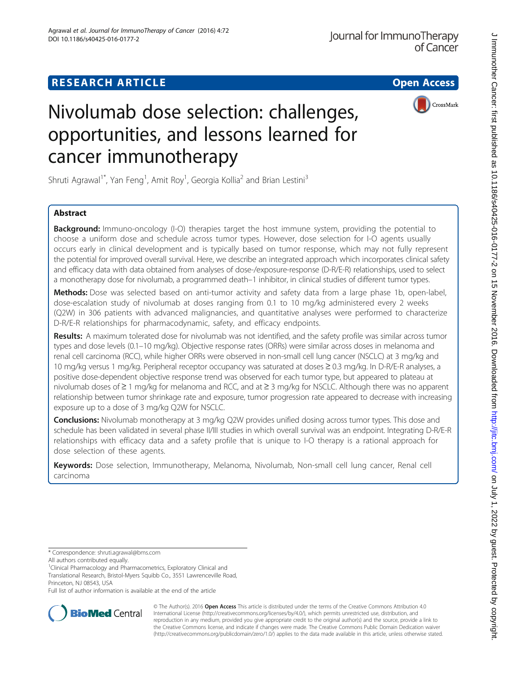# **RESEARCH ARTICLE Example 2014 12:30 The Contract of Contract Contract Contract Contract Contract Contract Contract Contract Contract Contract Contract Contract Contract Contract Contract Contract Contract Contract Contr**



# Nivolumab dose selection: challenges, opportunities, and lessons learned for cancer immunotherapy

Shruti Agrawal<sup>1\*</sup>, Yan Feng<sup>1</sup>, Amit Roy<sup>1</sup>, Georgia Kollia<sup>2</sup> and Brian Lestini<sup>3</sup>

### Abstract

**Background:** Immuno-oncology (I-O) therapies target the host immune system, providing the potential to choose a uniform dose and schedule across tumor types. However, dose selection for I-O agents usually occurs early in clinical development and is typically based on tumor response, which may not fully represent the potential for improved overall survival. Here, we describe an integrated approach which incorporates clinical safety and efficacy data with data obtained from analyses of dose-/exposure-response (D-R/E-R) relationships, used to select a monotherapy dose for nivolumab, a programmed death–1 inhibitor, in clinical studies of different tumor types.

Methods: Dose was selected based on anti-tumor activity and safety data from a large phase 1b, open-label, dose-escalation study of nivolumab at doses ranging from 0.1 to 10 mg/kg administered every 2 weeks (Q2W) in 306 patients with advanced malignancies, and quantitative analyses were performed to characterize D-R/E-R relationships for pharmacodynamic, safety, and efficacy endpoints.

Results: A maximum tolerated dose for nivolumab was not identified, and the safety profile was similar across tumor types and dose levels (0.1–10 mg/kg). Objective response rates (ORRs) were similar across doses in melanoma and renal cell carcinoma (RCC), while higher ORRs were observed in non-small cell lung cancer (NSCLC) at 3 mg/kg and 10 mg/kg versus 1 mg/kg. Peripheral receptor occupancy was saturated at doses ≥ 0.3 mg/kg. In D-R/E-R analyses, a positive dose-dependent objective response trend was observed for each tumor type, but appeared to plateau at nivolumab doses of ≥ 1 mg/kg for melanoma and RCC, and at ≥ 3 mg/kg for NSCLC. Although there was no apparent relationship between tumor shrinkage rate and exposure, tumor progression rate appeared to decrease with increasing exposure up to a dose of 3 mg/kg Q2W for NSCLC.

**Conclusions:** Nivolumab monotherapy at 3 mg/kg Q2W provides unified dosing across tumor types. This dose and schedule has been validated in several phase II/III studies in which overall survival was an endpoint. Integrating D-R/E-R relationships with efficacy data and a safety profile that is unique to I-O therapy is a rational approach for dose selection of these agents.

Keywords: Dose selection, Immunotherapy, Melanoma, Nivolumab, Non-small cell lung cancer, Renal cell carcinoma

<sup>1</sup>Clinical Pharmacology and Pharmacometrics, Exploratory Clinical and

Translational Research, Bristol-Myers Squibb Co., 3551 Lawrenceville Road, Princeton, NJ 08543, USA

Full list of author information is available at the end of the article



© The Author(s). 2016 **Open Access** This article is distributed under the terms of the Creative Commons Attribution 4.0 International License [\(http://creativecommons.org/licenses/by/4.0/](http://creativecommons.org/licenses/by/4.0/)), which permits unrestricted use, distribution, and reproduction in any medium, provided you give appropriate credit to the original author(s) and the source, provide a link to the Creative Commons license, and indicate if changes were made. The Creative Commons Public Domain Dedication waiver [\(http://creativecommons.org/publicdomain/zero/1.0/](http://creativecommons.org/publicdomain/zero/1.0/)) applies to the data made available in this article, unless otherwise stated.

<sup>\*</sup> Correspondence: [shruti.agrawal@bms.com](mailto:shruti.agrawal@bms.com)

All authors contributed equally.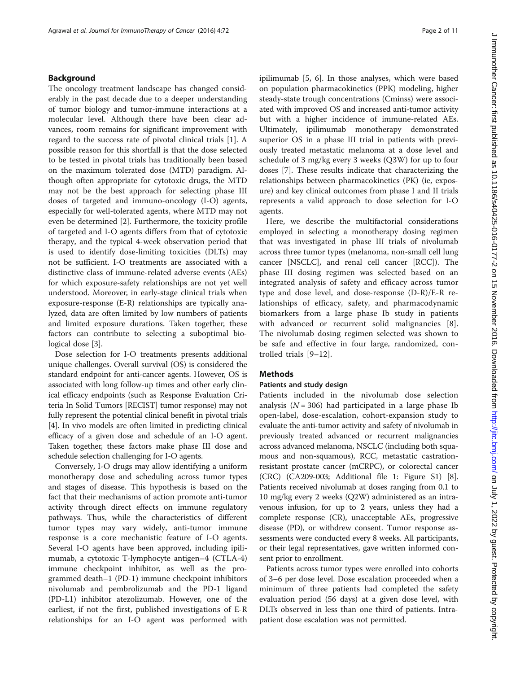#### Background

The oncology treatment landscape has changed considerably in the past decade due to a deeper understanding of tumor biology and tumor-immune interactions at a molecular level. Although there have been clear advances, room remains for significant improvement with regard to the success rate of pivotal clinical trials [[1\]](#page-10-0). A possible reason for this shortfall is that the dose selected to be tested in pivotal trials has traditionally been based on the maximum tolerated dose (MTD) paradigm. Although often appropriate for cytotoxic drugs, the MTD may not be the best approach for selecting phase III doses of targeted and immuno-oncology (I-O) agents, especially for well-tolerated agents, where MTD may not even be determined [\[2](#page-10-0)]. Furthermore, the toxicity profile of targeted and I-O agents differs from that of cytotoxic therapy, and the typical 4-week observation period that is used to identify dose-limiting toxicities (DLTs) may not be sufficient. I-O treatments are associated with a distinctive class of immune-related adverse events (AEs) for which exposure-safety relationships are not yet well understood. Moreover, in early-stage clinical trials when exposure-response (E-R) relationships are typically analyzed, data are often limited by low numbers of patients and limited exposure durations. Taken together, these factors can contribute to selecting a suboptimal bio-logical dose [[3](#page-10-0)].

Dose selection for I-O treatments presents additional unique challenges. Overall survival (OS) is considered the standard endpoint for anti-cancer agents. However, OS is associated with long follow-up times and other early clinical efficacy endpoints (such as Response Evaluation Criteria In Solid Tumors [RECIST] tumor response) may not fully represent the potential clinical benefit in pivotal trials [[4\]](#page-10-0). In vivo models are often limited in predicting clinical efficacy of a given dose and schedule of an I-O agent. Taken together, these factors make phase III dose and schedule selection challenging for I-O agents.

Conversely, I-O drugs may allow identifying a uniform monotherapy dose and scheduling across tumor types and stages of disease. This hypothesis is based on the fact that their mechanisms of action promote anti-tumor activity through direct effects on immune regulatory pathways. Thus, while the characteristics of different tumor types may vary widely, anti-tumor immune response is a core mechanistic feature of I-O agents. Several I-O agents have been approved, including ipilimumab, a cytotoxic T-lymphocyte antigen–4 (CTLA-4) immune checkpoint inhibitor, as well as the programmed death–1 (PD-1) immune checkpoint inhibitors nivolumab and pembrolizumab and the PD-1 ligand (PD-L1) inhibitor atezolizumab. However, one of the earliest, if not the first, published investigations of E-R relationships for an I-O agent was performed with ipilimumab [[5, 6](#page-10-0)]. In those analyses, which were based on population pharmacokinetics (PPK) modeling, higher steady-state trough concentrations (Cminss) were associated with improved OS and increased anti-tumor activity but with a higher incidence of immune-related AEs. Ultimately, ipilimumab monotherapy demonstrated superior OS in a phase III trial in patients with previously treated metastatic melanoma at a dose level and schedule of 3 mg/kg every 3 weeks (Q3W) for up to four doses [\[7](#page-10-0)]. These results indicate that characterizing the relationships between pharmacokinetics (PK) (ie, exposure) and key clinical outcomes from phase I and II trials represents a valid approach to dose selection for I-O agents.

Here, we describe the multifactorial considerations employed in selecting a monotherapy dosing regimen that was investigated in phase III trials of nivolumab across three tumor types (melanoma, non-small cell lung cancer [NSCLC], and renal cell cancer [RCC]). The phase III dosing regimen was selected based on an integrated analysis of safety and efficacy across tumor type and dose level, and dose-response (D-R)/E-R relationships of efficacy, safety, and pharmacodynamic biomarkers from a large phase Ib study in patients with advanced or recurrent solid malignancies [\[8](#page-10-0)]. The nivolumab dosing regimen selected was shown to be safe and effective in four large, randomized, controlled trials [[9](#page-10-0)–[12\]](#page-10-0).

#### Methods

#### Patients and study design

Patients included in the nivolumab dose selection analysis ( $N = 306$ ) had participated in a large phase Ib open-label, dose-escalation, cohort-expansion study to evaluate the anti-tumor activity and safety of nivolumab in previously treated advanced or recurrent malignancies across advanced melanoma, NSCLC (including both squamous and non-squamous), RCC, metastatic castrationresistant prostate cancer (mCRPC), or colorectal cancer (CRC) (CA209-003; Additional file [1](#page-9-0): Figure S1) [[8](#page-10-0)]. Patients received nivolumab at doses ranging from 0.1 to 10 mg/kg every 2 weeks (Q2W) administered as an intravenous infusion, for up to 2 years, unless they had a complete response (CR), unacceptable AEs, progressive disease (PD), or withdrew consent. Tumor response assessments were conducted every 8 weeks. All participants, or their legal representatives, gave written informed consent prior to enrollment.

Patients across tumor types were enrolled into cohorts of 3–6 per dose level. Dose escalation proceeded when a minimum of three patients had completed the safety evaluation period (56 days) at a given dose level, with DLTs observed in less than one third of patients. Intrapatient dose escalation was not permitted.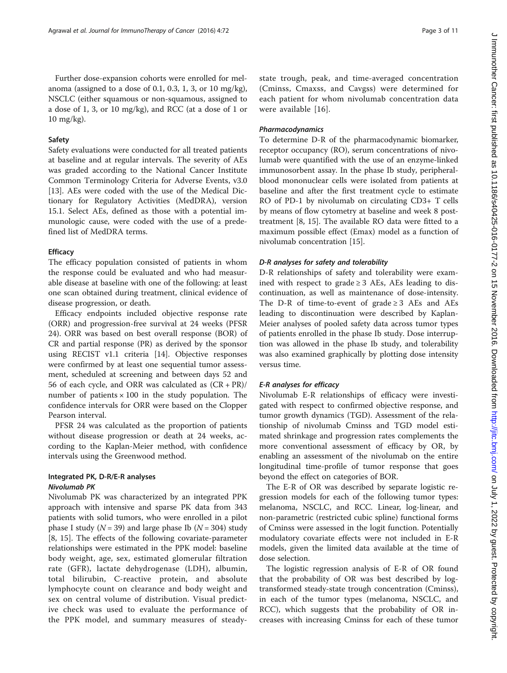Further dose-expansion cohorts were enrolled for melanoma (assigned to a dose of 0.1, 0.3, 1, 3, or 10 mg/kg), NSCLC (either squamous or non-squamous, assigned to a dose of 1, 3, or 10 mg/kg), and RCC (at a dose of 1 or 10 mg/kg).

#### Safety

Safety evaluations were conducted for all treated patients at baseline and at regular intervals. The severity of AEs was graded according to the National Cancer Institute Common Terminology Criteria for Adverse Events, v3.0 [[13\]](#page-10-0). AEs were coded with the use of the Medical Dictionary for Regulatory Activities (MedDRA), version 15.1. Select AEs, defined as those with a potential immunologic cause, were coded with the use of a predefined list of MedDRA terms.

#### **Efficacy**

The efficacy population consisted of patients in whom the response could be evaluated and who had measurable disease at baseline with one of the following: at least one scan obtained during treatment, clinical evidence of disease progression, or death.

Efficacy endpoints included objective response rate (ORR) and progression-free survival at 24 weeks (PFSR 24). ORR was based on best overall response (BOR) of CR and partial response (PR) as derived by the sponsor using RECIST v1.1 criteria [\[14](#page-10-0)]. Objective responses were confirmed by at least one sequential tumor assessment, scheduled at screening and between days 52 and 56 of each cycle, and ORR was calculated as  $(CR + PR)/$ number of patients  $\times$  100 in the study population. The confidence intervals for ORR were based on the Clopper Pearson interval.

PFSR 24 was calculated as the proportion of patients without disease progression or death at 24 weeks, according to the Kaplan-Meier method, with confidence intervals using the Greenwood method.

#### Integrated PK, D-R/E-R analyses Nivolumab PK

Nivolumab PK was characterized by an integrated PPK approach with intensive and sparse PK data from 343 patients with solid tumors, who were enrolled in a pilot phase I study ( $N = 39$ ) and large phase Ib ( $N = 304$ ) study [[8, 15](#page-10-0)]. The effects of the following covariate-parameter relationships were estimated in the PPK model: baseline body weight, age, sex, estimated glomerular filtration rate (GFR), lactate dehydrogenase (LDH), albumin, total bilirubin, C-reactive protein, and absolute lymphocyte count on clearance and body weight and sex on central volume of distribution. Visual predictive check was used to evaluate the performance of the PPK model, and summary measures of steadystate trough, peak, and time-averaged concentration (Cminss, Cmaxss, and Cavgss) were determined for each patient for whom nivolumab concentration data were available [\[16\]](#page-10-0).

#### Pharmacodynamics

To determine D-R of the pharmacodynamic biomarker, receptor occupancy (RO), serum concentrations of nivolumab were quantified with the use of an enzyme-linked immunosorbent assay. In the phase Ib study, peripheralblood mononuclear cells were isolated from patients at baseline and after the first treatment cycle to estimate RO of PD-1 by nivolumab on circulating CD3+ T cells by means of flow cytometry at baseline and week 8 posttreatment [\[8](#page-10-0), [15](#page-10-0)]. The available RO data were fitted to a maximum possible effect (Emax) model as a function of nivolumab concentration [[15](#page-10-0)].

#### D-R analyses for safety and tolerability

D-R relationships of safety and tolerability were examined with respect to grade  $\geq$  3 AEs, AEs leading to discontinuation, as well as maintenance of dose-intensity. The D-R of time-to-event of grade  $\geq$  3 AEs and AEs leading to discontinuation were described by Kaplan-Meier analyses of pooled safety data across tumor types of patients enrolled in the phase Ib study. Dose interruption was allowed in the phase Ib study, and tolerability was also examined graphically by plotting dose intensity versus time.

#### E-R analyses for efficacy

Nivolumab E-R relationships of efficacy were investigated with respect to confirmed objective response, and tumor growth dynamics (TGD). Assessment of the relationship of nivolumab Cminss and TGD model estimated shrinkage and progression rates complements the more conventional assessment of efficacy by OR, by enabling an assessment of the nivolumab on the entire longitudinal time-profile of tumor response that goes beyond the effect on categories of BOR.

The E-R of OR was described by separate logistic regression models for each of the following tumor types: melanoma, NSCLC, and RCC. Linear, log-linear, and non-parametric (restricted cubic spline) functional forms of Cminss were assessed in the logit function. Potentially modulatory covariate effects were not included in E-R models, given the limited data available at the time of dose selection.

The logistic regression analysis of E-R of OR found that the probability of OR was best described by logtransformed steady-state trough concentration (Cminss), in each of the tumor types (melanoma, NSCLC, and RCC), which suggests that the probability of OR increases with increasing Cminss for each of these tumor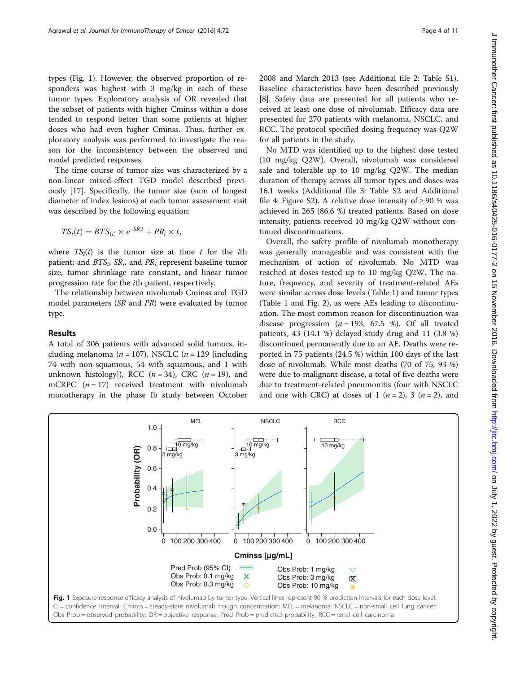<span id="page-3-0"></span>types (Fig. 1). However, the observed proportion of responders was highest with 3 mg/kg in each of these tumor types. Exploratory analysis of OR revealed that the subset of patients with higher Cminss within a dose tended to respond better than some patients at higher doses who had even higher Cminss. Thus, further exploratory analysis was performed to investigate the reason for the inconsistency between the observed and model predicted responses.

The time course of tumor size was characterized by a non-linear mixed-effect TGD model described previously [\[17](#page-10-0)]. Specifically, the tumor size (sum of longest diameter of index lesions) at each tumor assessment visit was described by the following equation:

$$
TS_i(t) = BTS_{(i)} \times e^{-SR_i t} + PR_i \times t,
$$

where  $TS_i(t)$  is the tumor size at time t for the ith patient; and  $BTS_i$ ,  $SR_i$ , and  $PR_i$  represent baseline tumor size, tumor shrinkage rate constant, and linear tumor progression rate for the ith patient, respectively.

The relationship between nivolumab Cminss and TGD model parameters (SR and PR) were evaluated by tumor type.

#### Results

A total of 306 patients with advanced solid tumors, including melanoma ( $n = 107$ ), NSCLC ( $n = 129$  [including 74 with non-squamous, 54 with squamous, and 1 with unknown histology]), RCC  $(n = 34)$ , CRC  $(n = 19)$ , and mCRPC  $(n = 17)$  received treatment with nivolumab monotherapy in the phase Ib study between October 2008 and March 2013 (see Additional file [2:](#page-9-0) Table S1). Baseline characteristics have been described previously [[8\]](#page-10-0). Safety data are presented for all patients who received at least one dose of nivolumab. Efficacy data are presented for 270 patients with melanoma, NSCLC, and RCC. The protocol specified dosing frequency was Q2W for all patients in the study.

No MTD was identified up to the highest dose tested (10 mg/kg Q2W). Overall, nivolumab was considered safe and tolerable up to 10 mg/kg Q2W. The median duration of therapy across all tumor types and doses was 16.1 weeks (Additional file [3:](#page-9-0) Table S2 and Additional file [4](#page-9-0): Figure S2). A relative dose intensity of  $\geq 90$  % was achieved in 265 (86.6 %) treated patients. Based on dose intensity, patients received 10 mg/kg Q2W without continued discontinuations.

Overall, the safety profile of nivolumab monotherapy was generally manageable and was consistent with the mechanism of action of nivolumab. No MTD was reached at doses tested up to 10 mg/kg Q2W. The nature, frequency, and severity of treatment-related AEs were similar across dose levels (Table [1](#page-4-0)) and tumor types (Table [1](#page-4-0) and Fig. [2\)](#page-5-0), as were AEs leading to discontinuation. The most common reason for discontinuation was disease progression  $(n = 193, 67.5 \%)$ . Of all treated patients, 43 (14.1 %) delayed study drug and 11 (3.8 %) discontinued permanently due to an AE. Deaths were reported in 75 patients (24.5 %) within 100 days of the last dose of nivolumab. While most deaths (70 of 75; 93 %) were due to malignant disease, a total of five deaths were due to treatment-related pneumonitis (four with NSCLC and one with CRC) at doses of 1 ( $n = 2$ ), 3 ( $n = 2$ ), and

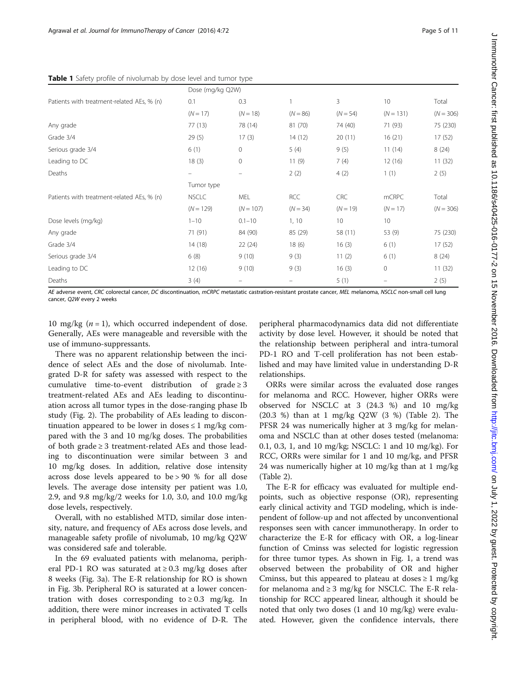<span id="page-4-0"></span>

|                                            | Dose (mg/kg Q2W)  |                          |            |            |             |             |
|--------------------------------------------|-------------------|--------------------------|------------|------------|-------------|-------------|
| Patients with treatment-related AEs, % (n) | 0.1               | 0.3                      |            | 3          | 10          | Total       |
|                                            | $(N = 17)$        | $(N = 18)$               | $(N = 86)$ | $(N = 54)$ | $(N = 131)$ | $(N = 306)$ |
| Any grade                                  | 77(13)            | 78 (14)                  | 81 (70)    | 74 (40)    | 71 (93)     | 75 (230)    |
| Grade 3/4                                  | 29(5)             | 17(3)                    | 14(12)     | 20(11)     | 16(21)      | 17(52)      |
| Serious grade 3/4                          | 6(1)              | $\Omega$                 | 5(4)       | 9(5)       | 11(14)      | 8(24)       |
| Leading to DC                              | 18(3)             | $\circ$                  | 11(9)      | 7(4)       | 12(16)      | 11(32)      |
| Deaths                                     | $\qquad \qquad -$ | $\overline{\phantom{m}}$ | 2(2)       | 4(2)       | 1(1)        | 2(5)        |
|                                            | Tumor type        |                          |            |            |             |             |
| Patients with treatment-related AEs, % (n) | <b>NSCLC</b>      | <b>MEL</b>               | RCC        | <b>CRC</b> | mCRPC       | Total       |
|                                            | $(N = 129)$       | $(N = 107)$              | $(N = 34)$ | $(N = 19)$ | $(N = 17)$  | $(N = 306)$ |
| Dose levels (mg/kg)                        | $1 - 10$          | $0.1 - 10$               | 1, 10      | 10         | 10          |             |
| Any grade                                  | 71 (91)           | 84 (90)                  | 85 (29)    | 58 (11)    | 53 (9)      | 75 (230)    |
| Grade 3/4                                  | 14(18)            | 22(24)                   | 18(6)      | 16(3)      | 6(1)        | 17(52)      |
| Serious grade 3/4                          | 6(8)              | 9(10)                    | 9(3)       | 11(2)      | 6(1)        | 8(24)       |
| Leading to DC                              | 12(16)            | 9(10)                    | 9(3)       | 16(3)      | $\circ$     | 11(32)      |
| Deaths                                     | 3(4)              |                          |            | 5(1)       |             | 2(5)        |

AE adverse event, CRC colorectal cancer, DC discontinuation, mCRPC metastatic castration-resistant prostate cancer, MEL melanoma, NSCLC non-small cell lung cancer, Q2W every 2 weeks

10 mg/kg  $(n = 1)$ , which occurred independent of dose. Generally, AEs were manageable and reversible with the use of immuno-suppressants.

There was no apparent relationship between the incidence of select AEs and the dose of nivolumab. Integrated D-R for safety was assessed with respect to the cumulative time-to-event distribution of grade  $\geq 3$ treatment-related AEs and AEs leading to discontinuation across all tumor types in the dose-ranging phase Ib study (Fig. [2](#page-5-0)). The probability of AEs leading to discontinuation appeared to be lower in doses  $\leq 1$  mg/kg compared with the 3 and 10 mg/kg doses. The probabilities of both grade  $\geq 3$  treatment-related AEs and those leading to discontinuation were similar between 3 and 10 mg/kg doses. In addition, relative dose intensity across dose levels appeared to be > 90 % for all dose levels. The average dose intensity per patient was 1.0, 2.9, and 9.8 mg/kg/2 weeks for 1.0, 3.0, and 10.0 mg/kg dose levels, respectively.

Overall, with no established MTD, similar dose intensity, nature, and frequency of AEs across dose levels, and manageable safety profile of nivolumab, 10 mg/kg Q2W was considered safe and tolerable.

In the 69 evaluated patients with melanoma, peripheral PD-1 RO was saturated at  $\geq$  0.3 mg/kg doses after 8 weeks (Fig. [3a](#page-6-0)). The E-R relationship for RO is shown in Fig. [3b.](#page-6-0) Peripheral RO is saturated at a lower concentration with doses corresponding to  $\geq 0.3$  mg/kg. In addition, there were minor increases in activated T cells in peripheral blood, with no evidence of D-R. The

peripheral pharmacodynamics data did not differentiate activity by dose level. However, it should be noted that the relationship between peripheral and intra-tumoral PD-1 RO and T-cell proliferation has not been established and may have limited value in understanding D-R relationships.

ORRs were similar across the evaluated dose ranges for melanoma and RCC. However, higher ORRs were observed for NSCLC at 3 (24.3 %) and 10 mg/kg (20.3 %) than at 1 mg/kg Q2W (3 %) (Table [2](#page-6-0)). The PFSR 24 was numerically higher at 3 mg/kg for melanoma and NSCLC than at other doses tested (melanoma: 0.1, 0.3, 1, and 10 mg/kg; NSCLC: 1 and 10 mg/kg). For RCC, ORRs were similar for 1 and 10 mg/kg, and PFSR 24 was numerically higher at 10 mg/kg than at 1 mg/kg (Table [2\)](#page-6-0).

The E-R for efficacy was evaluated for multiple endpoints, such as objective response (OR), representing early clinical activity and TGD modeling, which is independent of follow-up and not affected by unconventional responses seen with cancer immunotherapy. In order to characterize the E-R for efficacy with OR, a log-linear function of Cminss was selected for logistic regression for three tumor types. As shown in Fig. [1,](#page-3-0) a trend was observed between the probability of OR and higher Cminss, but this appeared to plateau at doses  $\geq 1$  mg/kg for melanoma and ≥ 3 mg/kg for NSCLC. The E-R relationship for RCC appeared linear, although it should be noted that only two doses (1 and 10 mg/kg) were evaluated. However, given the confidence intervals, there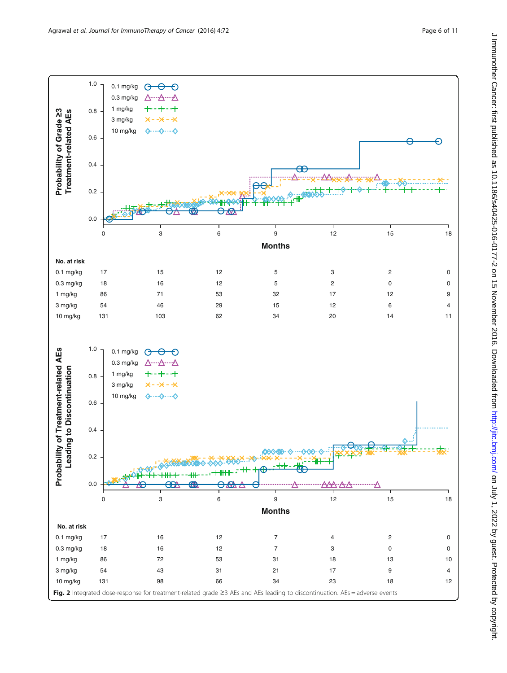<span id="page-5-0"></span>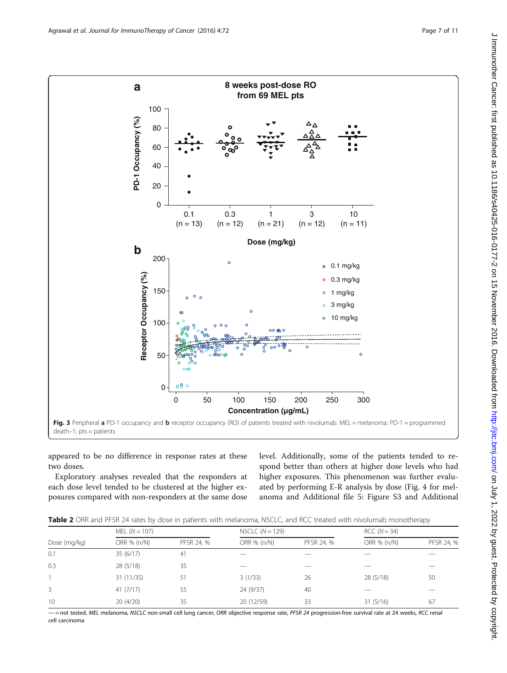<span id="page-6-0"></span>

appeared to be no difference in response rates at these two doses.

Exploratory analyses revealed that the responders at each dose level tended to be clustered at the higher exposures compared with non-responders at the same dose level. Additionally, some of the patients tended to respond better than others at higher dose levels who had higher exposures. This phenomenon was further evaluated by performing E-R analysis by dose (Fig. [4](#page-7-0) for melanoma and Additional file [5](#page-9-0): Figure S3 and Additional

|  | Table 2 ORR and PFSR 24 rates by dose in patients with melanoma, NSCLC, and RCC treated with nivolumab monotherapy |  |
|--|--------------------------------------------------------------------------------------------------------------------|--|
|--|--------------------------------------------------------------------------------------------------------------------|--|

| Dose (mg/kg) | MEL $(N = 107)$ |            | NSCLC $(N = 129)$ |            | $RCC (N = 34)$ |            |  |
|--------------|-----------------|------------|-------------------|------------|----------------|------------|--|
|              | ORR % (n/N)     | PFSR 24, % | ORR % (n/N)       | PFSR 24, % | ORR % (n/N)    | PFSR 24, % |  |
| 0.1          | 35(6/17)        | 41         |                   |            |                |            |  |
| 0.3          | 28 (5/18)       | 35         |                   |            |                |            |  |
|              | 31(11/35)       | 51         | 3(1/33)           | 26         | 28 (5/18)      | 50         |  |
|              | 41(7/17)        | 55         | 24 (9/37)         | 40         |                |            |  |
| 10           | 20(4/20)        | 35         | 20 (12/59)        | 33         | 31(5/16)       | 67         |  |

- not tested, MEL melanoma, NSCLC non-small cell lung cancer, ORR objective response rate, PFSR 24 progression-free survival rate at 24 weeks, RCC renal cell carcinoma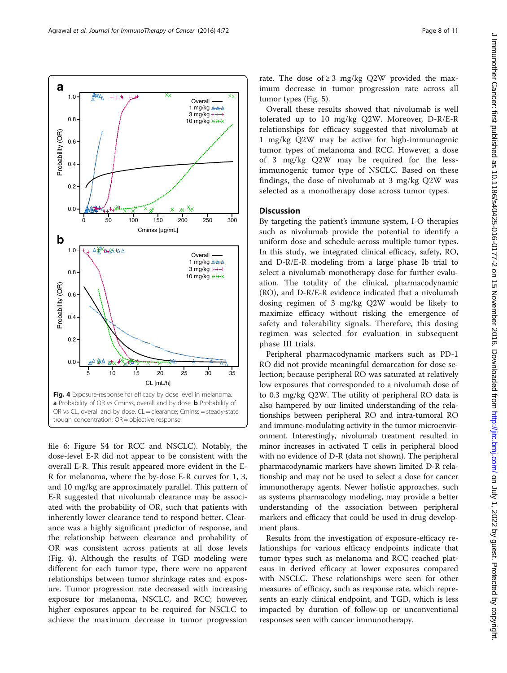<span id="page-7-0"></span>

file [6](#page-9-0): Figure S4 for RCC and NSCLC). Notably, the dose-level E-R did not appear to be consistent with the overall E-R. This result appeared more evident in the E-R for melanoma, where the by-dose E-R curves for 1, 3, and 10 mg/kg are approximately parallel. This pattern of E-R suggested that nivolumab clearance may be associated with the probability of OR, such that patients with inherently lower clearance tend to respond better. Clearance was a highly significant predictor of response, and the relationship between clearance and probability of OR was consistent across patients at all dose levels (Fig. 4). Although the results of TGD modeling were different for each tumor type, there were no apparent relationships between tumor shrinkage rates and exposure. Tumor progression rate decreased with increasing exposure for melanoma, NSCLC, and RCC; however, higher exposures appear to be required for NSCLC to achieve the maximum decrease in tumor progression

Overall these results showed that nivolumab is well tolerated up to 10 mg/kg Q2W. Moreover, D-R/E-R relationships for efficacy suggested that nivolumab at 1 mg/kg Q2W may be active for high-immunogenic tumor types of melanoma and RCC. However, a dose of 3 mg/kg Q2W may be required for the lessimmunogenic tumor type of NSCLC. Based on these findings, the dose of nivolumab at 3 mg/kg Q2W was selected as a monotherapy dose across tumor types.

#### **Discussion**

By targeting the patient's immune system, I-O therapies such as nivolumab provide the potential to identify a uniform dose and schedule across multiple tumor types. In this study, we integrated clinical efficacy, safety, RO, and D-R/E-R modeling from a large phase Ib trial to select a nivolumab monotherapy dose for further evaluation. The totality of the clinical, pharmacodynamic (RO), and D-R/E-R evidence indicated that a nivolumab dosing regimen of 3 mg/kg Q2W would be likely to maximize efficacy without risking the emergence of safety and tolerability signals. Therefore, this dosing regimen was selected for evaluation in subsequent phase III trials.

Peripheral pharmacodynamic markers such as PD-1 RO did not provide meaningful demarcation for dose selection; because peripheral RO was saturated at relatively low exposures that corresponded to a nivolumab dose of to 0.3 mg/kg Q2W. The utility of peripheral RO data is also hampered by our limited understanding of the relationships between peripheral RO and intra-tumoral RO and immune-modulating activity in the tumor microenvironment. Interestingly, nivolumab treatment resulted in minor increases in activated T cells in peripheral blood with no evidence of D-R (data not shown). The peripheral pharmacodynamic markers have shown limited D-R relationship and may not be used to select a dose for cancer immunotherapy agents. Newer holistic approaches, such as systems pharmacology modeling, may provide a better understanding of the association between peripheral markers and efficacy that could be used in drug development plans.

Results from the investigation of exposure-efficacy relationships for various efficacy endpoints indicate that tumor types such as melanoma and RCC reached plateaus in derived efficacy at lower exposures compared with NSCLC. These relationships were seen for other measures of efficacy, such as response rate, which represents an early clinical endpoint, and TGD, which is less impacted by duration of follow-up or unconventional responses seen with cancer immunotherapy.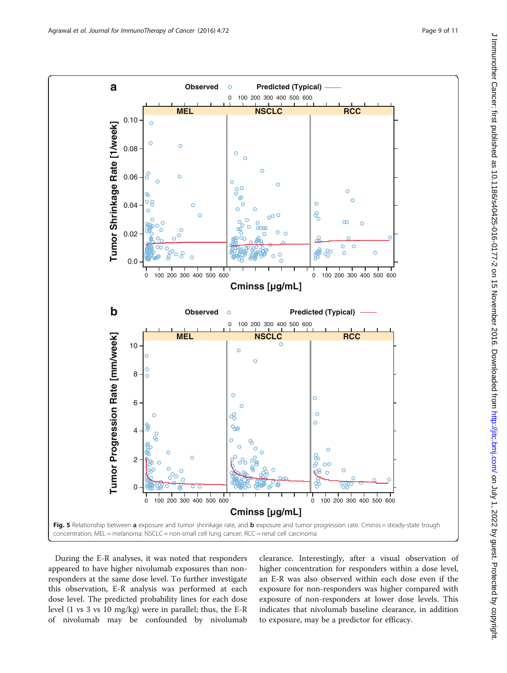<span id="page-8-0"></span>

During the E-R analyses, it was noted that responders appeared to have higher nivolumab exposures than nonresponders at the same dose level. To further investigate this observation, E-R analysis was performed at each dose level. The predicted probability lines for each dose level (1 vs 3 vs 10 mg/kg) were in parallel; thus, the E-R of nivolumab may be confounded by nivolumab

clearance. Interestingly, after a visual observation of higher concentration for responders within a dose level, an E-R was also observed within each dose even if the exposure for non-responders was higher compared with exposure of non-responders at lower dose levels. This indicates that nivolumab baseline clearance, in addition to exposure, may be a predictor for efficacy.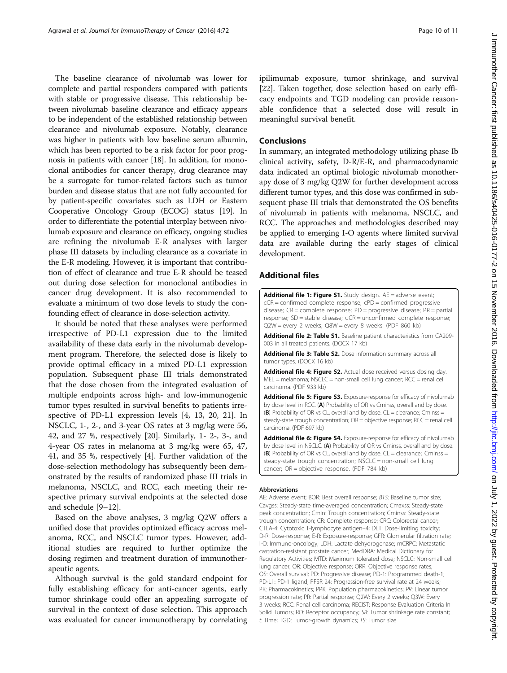<span id="page-9-0"></span>The baseline clearance of nivolumab was lower for complete and partial responders compared with patients with stable or progressive disease. This relationship between nivolumab baseline clearance and efficacy appears to be independent of the established relationship between clearance and nivolumab exposure. Notably, clearance was higher in patients with low baseline serum albumin, which has been reported to be a risk factor for poor prognosis in patients with cancer [\[18\]](#page-10-0). In addition, for monoclonal antibodies for cancer therapy, drug clearance may be a surrogate for tumor-related factors such as tumor burden and disease status that are not fully accounted for by patient-specific covariates such as LDH or Eastern Cooperative Oncology Group (ECOG) status [[19](#page-10-0)]. In order to differentiate the potential interplay between nivolumab exposure and clearance on efficacy, ongoing studies are refining the nivolumab E-R analyses with larger phase III datasets by including clearance as a covariate in the E-R modeling. However, it is important that contribution of effect of clearance and true E-R should be teased out during dose selection for monoclonal antibodies in cancer drug development. It is also recommended to evaluate a minimum of two dose levels to study the confounding effect of clearance in dose-selection activity.

It should be noted that these analyses were performed irrespective of PD-L1 expression due to the limited availability of these data early in the nivolumab development program. Therefore, the selected dose is likely to provide optimal efficacy in a mixed PD-L1 expression population. Subsequent phase III trials demonstrated that the dose chosen from the integrated evaluation of multiple endpoints across high- and low-immunogenic tumor types resulted in survival benefits to patients irrespective of PD-L1 expression levels [[4](#page-10-0), [13](#page-10-0), [20, 21\]](#page-10-0). In NSCLC, 1-, 2-, and 3-year OS rates at 3 mg/kg were 56, 42, and 27 %, respectively [[20\]](#page-10-0). Similarly, 1- 2-, 3-, and 4-year OS rates in melanoma at 3 mg/kg were 65, 47, 41, and 35 %, respectively [[4\]](#page-10-0). Further validation of the dose-selection methodology has subsequently been demonstrated by the results of randomized phase III trials in melanoma, NSCLC, and RCC, each meeting their respective primary survival endpoints at the selected dose and schedule [\[9](#page-10-0)–[12\]](#page-10-0).

Based on the above analyses, 3 mg/kg Q2W offers a unified dose that provides optimized efficacy across melanoma, RCC, and NSCLC tumor types. However, additional studies are required to further optimize the dosing regimen and treatment duration of immunotherapeutic agents.

Although survival is the gold standard endpoint for fully establishing efficacy for anti-cancer agents, early tumor shrinkage could offer an appealing surrogate of survival in the context of dose selection. This approach was evaluated for cancer immunotherapy by correlating

ipilimumab exposure, tumor shrinkage, and survival [[22\]](#page-10-0). Taken together, dose selection based on early efficacy endpoints and TGD modeling can provide reasonable confidence that a selected dose will result in meaningful survival benefit.

#### Conclusions

In summary, an integrated methodology utilizing phase Ib clinical activity, safety, D-R/E-R, and pharmacodynamic data indicated an optimal biologic nivolumab monotherapy dose of 3 mg/kg Q2W for further development across different tumor types, and this dose was confirmed in subsequent phase III trials that demonstrated the OS benefits of nivolumab in patients with melanoma, NSCLC, and RCC. The approaches and methodologies described may be applied to emerging I-O agents where limited survival data are available during the early stages of clinical development.

#### Additional files

[Additional file 1: Figure S1.](dx.doi.org/10.1186/s40425-016-0177-2) Study design. AE = adverse event; cCR = confirmed complete response; cPD = confirmed progressive disease; CR = complete response; PD = progressive disease; PR = partial response; SD = stable disease; uCR = unconfirmed complete response; Q2W = every 2 weeks; Q8W = every 8 weeks. (PDF 860 kb)

[Additional file 2: Table S1.](dx.doi.org/10.1186/s40425-016-0177-2) Baseline patient characteristics from CA209-003 in all treated patients. (DOCX 17 kb)

[Additional file 3: Table S2.](dx.doi.org/10.1186/s40425-016-0177-2) Dose information summary across all tumor types. (DOCX 16 kb)

[Additional file 4: Figure S2.](dx.doi.org/10.1186/s40425-016-0177-2) Actual dose received versus dosing day. MEL = melanoma; NSCLC = non-small cell lung cancer; RCC = renal cell carcinoma. (PDF 933 kb)

[Additional file 5: Figure S3.](dx.doi.org/10.1186/s40425-016-0177-2) Exposure-response for efficacy of nivolumab by dose level in RCC. (A) Probability of OR vs Cminss, overall and by dose. (B) Probability of OR vs CL, overall and by dose.  $CL =$  clearance; Cminss = steady-state trough concentration; OR = objective response; RCC = renal cell carcinoma. (PDF 697 kb)

[Additional file 6: Figure S4.](dx.doi.org/10.1186/s40425-016-0177-2) Exposure-response for efficacy of nivolumab by dose level in NSCLC. (A) Probability of OR vs Cminss, overall and by dose (B) Probability of OR vs CL, overall and by dose.  $CL =$  clearance; Cminss = steady-state trough concentration; NSCLC = non-small cell lung cancer; OR = objective response. (PDF 784 kb)

#### Abbreviations

AE: Adverse event; BOR: Best overall response; BTS: Baseline tumor size; Cavgss: Steady-state time-averaged concentration; Cmaxss: Steady-state peak concentration; Cmin: Trough concentration; Cminss: Steady-state trough concentration; CR: Complete response; CRC: Colorectal cancer; CTLA-4: Cytotoxic T-lymphocyte antigen–4; DLT: Dose-limiting toxicity; D-R: Dose-response; E-R: Exposure-response; GFR: Glomerular filtration rate; I-O: Immuno-oncology; LDH: Lactate dehydrogenase; mCRPC: Metastatic castration-resistant prostate cancer; MedDRA: Medical Dictionary for Regulatory Activities; MTD: Maximum tolerated dose; NSCLC: Non-small cell lung cancer; OR: Objective response; ORR: Objective response rates; OS: Overall survival; PD: Progressive disease; PD-1: Programmed death-1; PD-L1: PD-1 ligand; PFSR 24: Progression-free survival rate at 24 weeks; PK: Pharmacokinetics; PPK: Population pharmacokinetics; PR: Linear tumor progression rate; PR: Partial response; Q2W: Every 2 weeks; Q3W: Every 3 weeks; RCC: Renal cell carcinoma; RECIST: Response Evaluation Criteria In Solid Tumors; RO: Receptor occupancy; SR: Tumor shrinkage rate constant; t: Time; TGD: Tumor-growth dynamics; TS: Tumor size